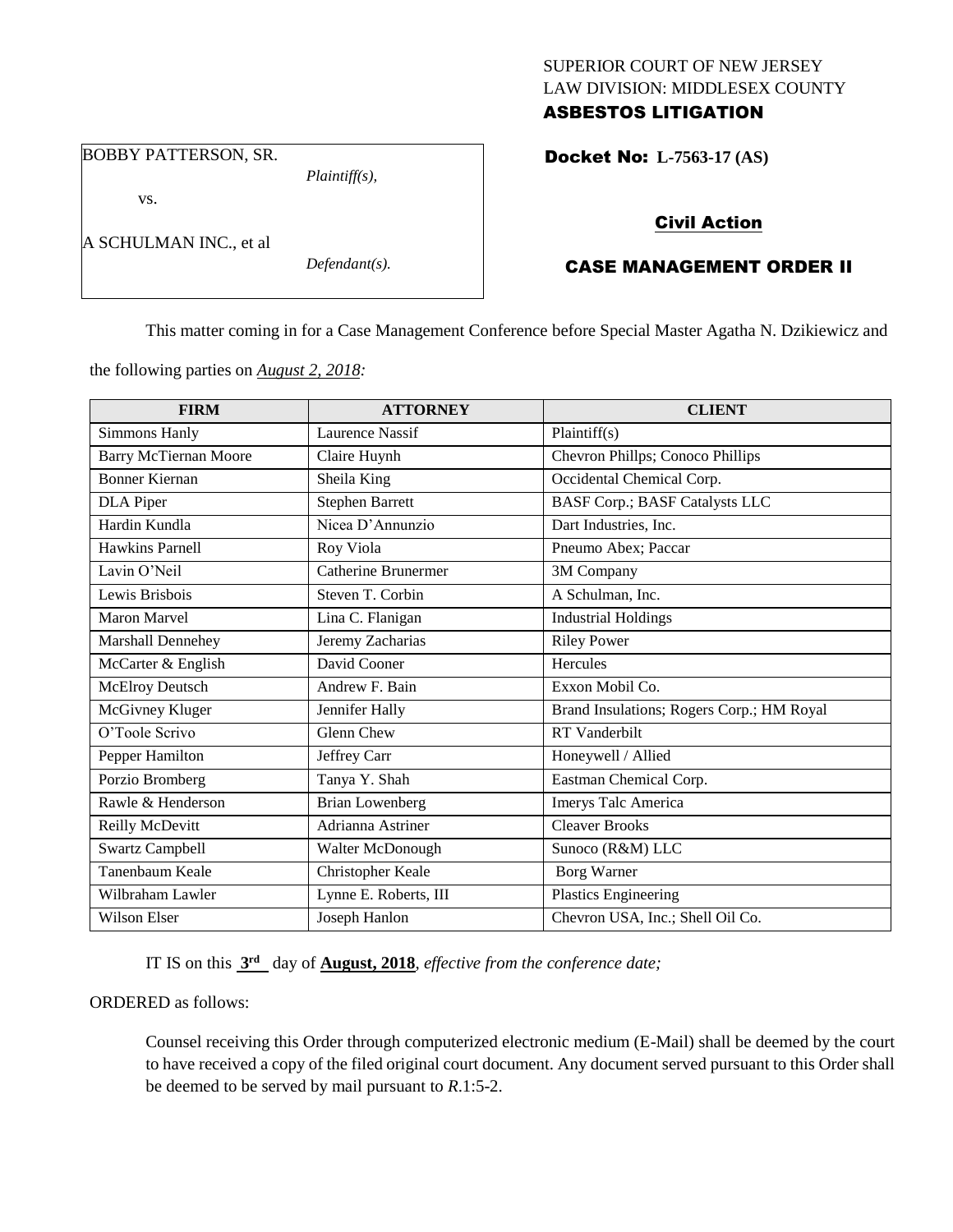# SUPERIOR COURT OF NEW JERSEY LAW DIVISION: MIDDLESEX COUNTY ASBESTOS LITIGATION

BOBBY PATTERSON, SR.

A SCHULMAN INC., et al

vs.

*Plaintiff(s),*

*Defendant(s).*

Docket No: **L-7563-17 (AS)** 

# Civil Action

# CASE MANAGEMENT ORDER II

This matter coming in for a Case Management Conference before Special Master Agatha N. Dzikiewicz and

the following parties on *August 2, 2018:*

| <b>FIRM</b>                  | <b>ATTORNEY</b>            | <b>CLIENT</b>                             |
|------------------------------|----------------------------|-------------------------------------------|
| <b>Simmons Hanly</b>         | <b>Laurence Nassif</b>     | Plaintiff(s)                              |
| <b>Barry McTiernan Moore</b> | Claire Huynh               | Chevron Phillps; Conoco Phillips          |
| <b>Bonner Kiernan</b>        | Sheila King                | Occidental Chemical Corp.                 |
| DLA Piper                    | <b>Stephen Barrett</b>     | <b>BASF Corp.; BASF Catalysts LLC</b>     |
| Hardin Kundla                | Nicea D'Annunzio           | Dart Industries, Inc.                     |
| Hawkins Parnell              | Roy Viola                  | Pneumo Abex; Paccar                       |
| Lavin O'Neil                 | <b>Catherine Brunermer</b> | 3M Company                                |
| Lewis Brisbois               | Steven T. Corbin           | A Schulman, Inc.                          |
| <b>Maron Marvel</b>          | Lina C. Flanigan           | <b>Industrial Holdings</b>                |
| Marshall Dennehey            | Jeremy Zacharias           | <b>Riley Power</b>                        |
| McCarter & English           | David Cooner               | Hercules                                  |
| <b>McElroy Deutsch</b>       | Andrew F. Bain             | Exxon Mobil Co.                           |
| McGivney Kluger              | Jennifer Hally             | Brand Insulations; Rogers Corp.; HM Royal |
| O'Toole Scrivo               | Glenn Chew                 | <b>RT</b> Vanderbilt                      |
| Pepper Hamilton              | Jeffrey Carr               | Honeywell / Allied                        |
| Porzio Bromberg              | Tanya Y. Shah              | Eastman Chemical Corp.                    |
| Rawle & Henderson            | <b>Brian Lowenberg</b>     | Imerys Talc America                       |
| Reilly McDevitt              | Adrianna Astriner          | <b>Cleaver Brooks</b>                     |
| <b>Swartz Campbell</b>       | Walter McDonough           | Sunoco (R&M) LLC                          |
| Tanenbaum Keale              | Christopher Keale          | <b>Borg Warner</b>                        |
| Wilbraham Lawler             | Lynne E. Roberts, III      | <b>Plastics Engineering</b>               |
| Wilson Elser                 | Joseph Hanlon              | Chevron USA, Inc.; Shell Oil Co.          |

IT IS on this **3 rd** day of **August, 2018**, *effective from the conference date;*

## ORDERED as follows:

Counsel receiving this Order through computerized electronic medium (E-Mail) shall be deemed by the court to have received a copy of the filed original court document. Any document served pursuant to this Order shall be deemed to be served by mail pursuant to *R*.1:5-2.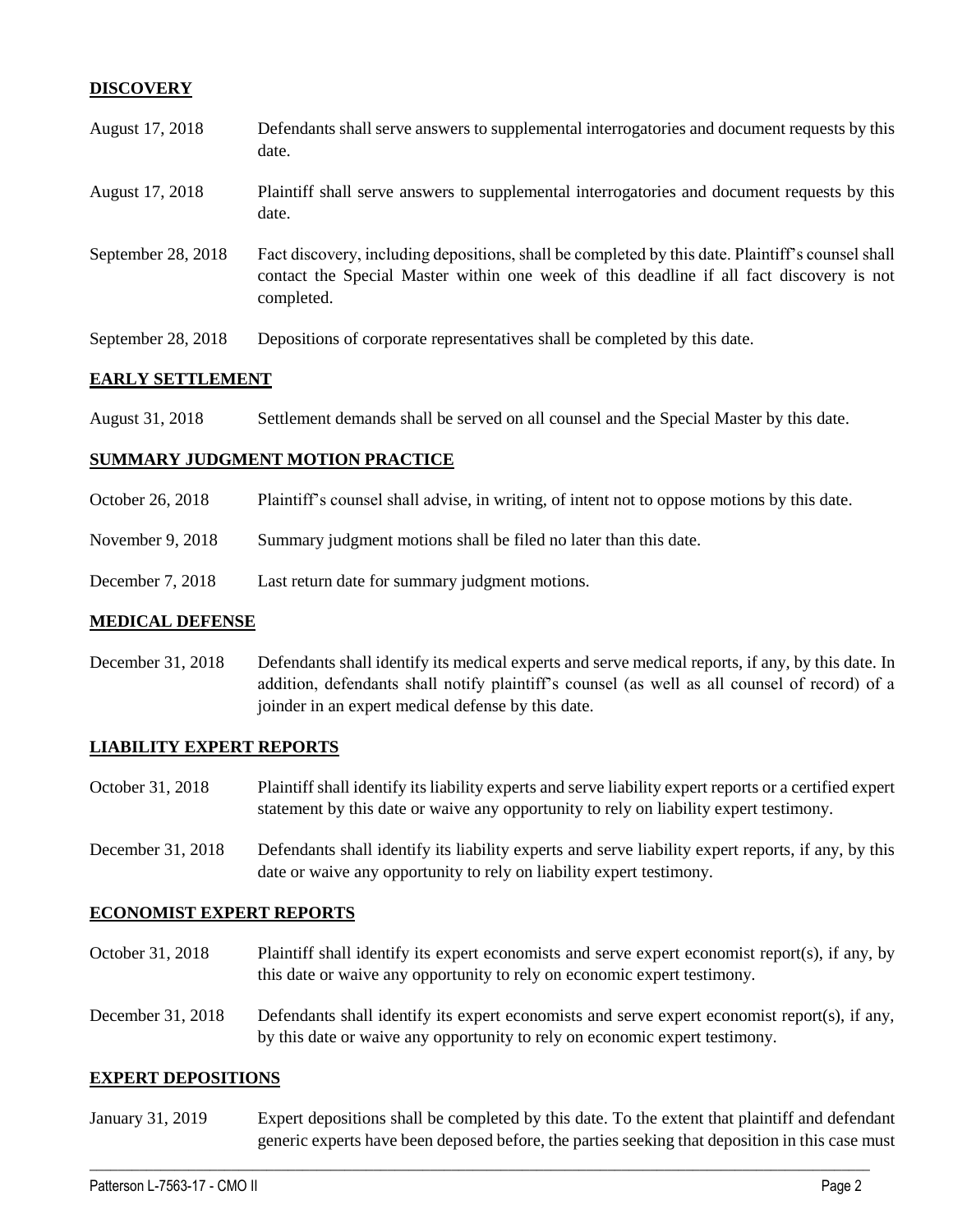## **DISCOVERY**

| August 17, 2018    | Defendants shall serve answers to supplemental interrogatories and document requests by this<br>date.                                                                                                       |
|--------------------|-------------------------------------------------------------------------------------------------------------------------------------------------------------------------------------------------------------|
| August 17, 2018    | Plaintiff shall serve answers to supplemental interrogatories and document requests by this<br>date.                                                                                                        |
| September 28, 2018 | Fact discovery, including depositions, shall be completed by this date. Plaintiff's counsel shall<br>contact the Special Master within one week of this deadline if all fact discovery is not<br>completed. |
| September 28, 2018 | Depositions of corporate representatives shall be completed by this date.                                                                                                                                   |

## **EARLY SETTLEMENT**

| August 31, 2018 | Settlement demands shall be served on all counsel and the Special Master by this date. |
|-----------------|----------------------------------------------------------------------------------------|
|-----------------|----------------------------------------------------------------------------------------|

#### **SUMMARY JUDGMENT MOTION PRACTICE**

- October 26, 2018 Plaintiff's counsel shall advise, in writing, of intent not to oppose motions by this date.
- November 9, 2018 Summary judgment motions shall be filed no later than this date.
- December 7, 2018 Last return date for summary judgment motions.

### **MEDICAL DEFENSE**

December 31, 2018 Defendants shall identify its medical experts and serve medical reports, if any, by this date. In addition, defendants shall notify plaintiff's counsel (as well as all counsel of record) of a joinder in an expert medical defense by this date.

#### **LIABILITY EXPERT REPORTS**

- October 31, 2018 Plaintiff shall identify its liability experts and serve liability expert reports or a certified expert statement by this date or waive any opportunity to rely on liability expert testimony.
- December 31, 2018 Defendants shall identify its liability experts and serve liability expert reports, if any, by this date or waive any opportunity to rely on liability expert testimony.

#### **ECONOMIST EXPERT REPORTS**

- October 31, 2018 Plaintiff shall identify its expert economists and serve expert economist report(s), if any, by this date or waive any opportunity to rely on economic expert testimony.
- December 31, 2018 Defendants shall identify its expert economists and serve expert economist report(s), if any, by this date or waive any opportunity to rely on economic expert testimony.

#### **EXPERT DEPOSITIONS**

January 31, 2019 Expert depositions shall be completed by this date. To the extent that plaintiff and defendant generic experts have been deposed before, the parties seeking that deposition in this case must

 $\_$  ,  $\_$  ,  $\_$  ,  $\_$  ,  $\_$  ,  $\_$  ,  $\_$  ,  $\_$  ,  $\_$  ,  $\_$  ,  $\_$  ,  $\_$  ,  $\_$  ,  $\_$  ,  $\_$  ,  $\_$  ,  $\_$  ,  $\_$  ,  $\_$  ,  $\_$  ,  $\_$  ,  $\_$  ,  $\_$  ,  $\_$  ,  $\_$  ,  $\_$  ,  $\_$  ,  $\_$  ,  $\_$  ,  $\_$  ,  $\_$  ,  $\_$  ,  $\_$  ,  $\_$  ,  $\_$  ,  $\_$  ,  $\_$  ,